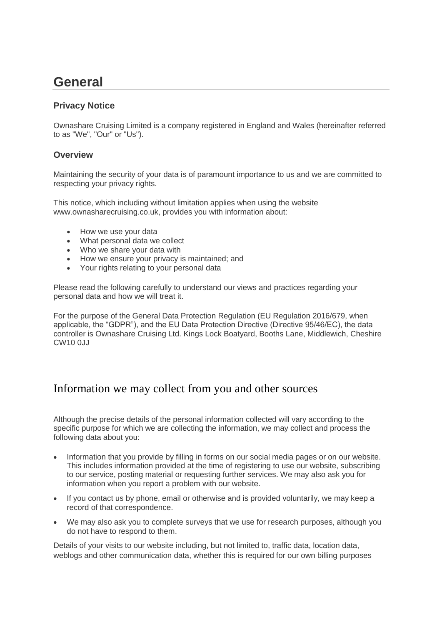# **General**

#### **Privacy Notice**

Ownashare Cruising Limited is a company registered in England and Wales (hereinafter referred to as "We", "Our" or "Us").

#### **Overview**

Maintaining the security of your data is of paramount importance to us and we are committed to respecting your privacy rights.

This notice, which including without limitation applies when using the website www.ownasharecruising.co.uk, provides you with information about:

- How we use your data
- What personal data we collect
- Who we share your data with
- How we ensure your privacy is maintained; and
- Your rights relating to your personal data

Please read the following carefully to understand our views and practices regarding your personal data and how we will treat it.

For the purpose of the General Data Protection Regulation (EU Regulation 2016/679, when applicable, the "GDPR"), and the EU Data Protection Directive (Directive 95/46/EC), the data controller is Ownashare Cruising Ltd. Kings Lock Boatyard, Booths Lane, Middlewich, Cheshire CW10 0JJ

#### Information we may collect from you and other sources

Although the precise details of the personal information collected will vary according to the specific purpose for which we are collecting the information, we may collect and process the following data about you:

- Information that you provide by filling in forms on our social media pages or on our website. This includes information provided at the time of registering to use our website, subscribing to our service, posting material or requesting further services. We may also ask you for information when you report a problem with our website.
- If you contact us by phone, email or otherwise and is provided voluntarily, we may keep a record of that correspondence.
- We may also ask you to complete surveys that we use for research purposes, although you do not have to respond to them.

Details of your visits to our website including, but not limited to, traffic data, location data, weblogs and other communication data, whether this is required for our own billing purposes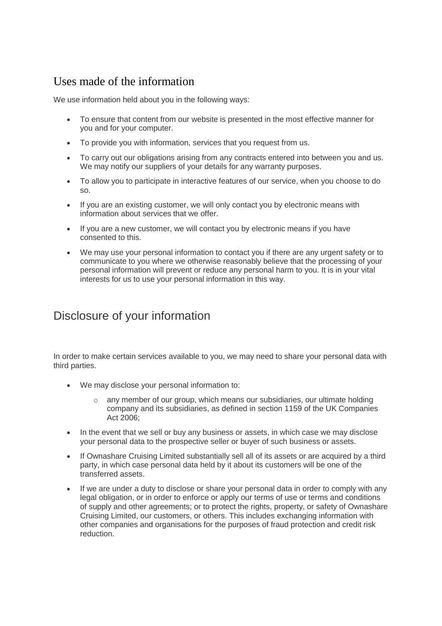### Uses made of the information

We use information held about you in the following ways:

- To ensure that content from our website is presented in the most effective manner for you and for your computer.
- To provide you with information, services that you request from us.
- To carry out our obligations arising from any contracts entered into between you and us. We may notify our suppliers of your details for any warranty purposes.
- To allow you to participate in interactive features of our service, when you choose to do so.
- If you are an existing customer, we will only contact you by electronic means with information about services that we offer.
- If you are a new customer, we will contact you by electronic means if you have consented to this.
- We may use your personal information to contact you if there are any urgent safety or to communicate to you where we otherwise reasonably believe that the processing of your personal information will prevent or reduce any personal harm to you. It is in your vital interests for us to use your personal information in this way.

## Disclosure of your information

In order to make certain services available to you, we may need to share your personal data with third parties.

- We may disclose your personal information to:
	- $\circ$  any member of our group, which means our subsidiaries, our ultimate holding company and its subsidiaries, as defined in section 1159 of the UK Companies Act 2006;
- In the event that we sell or buy any business or assets, in which case we may disclose your personal data to the prospective seller or buyer of such business or assets.
- If Ownashare Cruising Limited substantially sell all of its assets or are acquired by a third party, in which case personal data held by it about its customers will be one of the transferred assets.
- If we are under a duty to disclose or share your personal data in order to comply with any legal obligation, or in order to enforce or apply our terms of use or terms and conditions of supply and other agreements; or to protect the rights, property, or safety of Ownashare Cruising Limited, our customers, or others. This includes exchanging information with other companies and organisations for the purposes of fraud protection and credit risk reduction.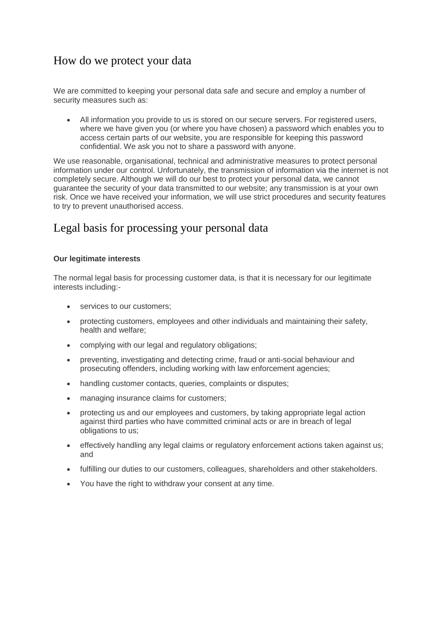### How do we protect your data

We are committed to keeping your personal data safe and secure and employ a number of security measures such as:

• All information you provide to us is stored on our secure servers. For registered users, where we have given you (or where you have chosen) a password which enables you to access certain parts of our website, you are responsible for keeping this password confidential. We ask you not to share a password with anyone.

We use reasonable, organisational, technical and administrative measures to protect personal information under our control. Unfortunately, the transmission of information via the internet is not completely secure. Although we will do our best to protect your personal data, we cannot guarantee the security of your data transmitted to our website; any transmission is at your own risk. Once we have received your information, we will use strict procedures and security features to try to prevent unauthorised access.

#### Legal basis for processing your personal data

#### **Our legitimate interests**

The normal legal basis for processing customer data, is that it is necessary for our legitimate interests including:-

- services to our customers;
- protecting customers, employees and other individuals and maintaining their safety, health and welfare;
- complying with our legal and regulatory obligations;
- preventing, investigating and detecting crime, fraud or anti-social behaviour and prosecuting offenders, including working with law enforcement agencies;
- handling customer contacts, queries, complaints or disputes;
- managing insurance claims for customers;
- protecting us and our employees and customers, by taking appropriate legal action against third parties who have committed criminal acts or are in breach of legal obligations to us;
- effectively handling any legal claims or regulatory enforcement actions taken against us; and
- fulfilling our duties to our customers, colleagues, shareholders and other stakeholders.
- You have the right to withdraw your consent at any time.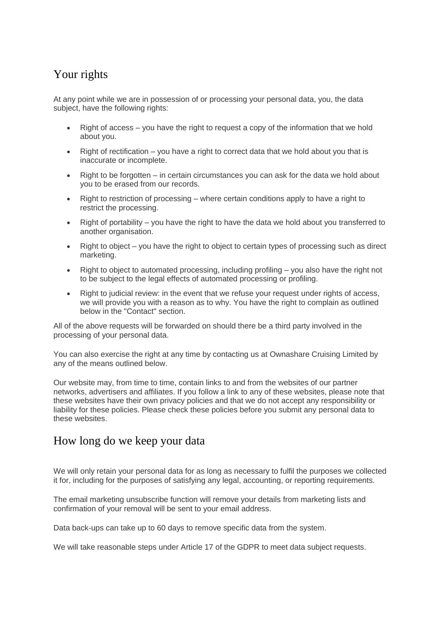## Your rights

At any point while we are in possession of or processing your personal data, you, the data subject, have the following rights:

- Right of access you have the right to request a copy of the information that we hold about you.
- Right of rectification you have a right to correct data that we hold about you that is inaccurate or incomplete.
- Right to be forgotten in certain circumstances you can ask for the data we hold about you to be erased from our records.
- Right to restriction of processing where certain conditions apply to have a right to restrict the processing.
- Right of portability you have the right to have the data we hold about you transferred to another organisation.
- Right to object you have the right to object to certain types of processing such as direct marketing.
- Right to object to automated processing, including profiling you also have the right not to be subject to the legal effects of automated processing or profiling.
- Right to judicial review: in the event that we refuse your request under rights of access, we will provide you with a reason as to why. You have the right to complain as outlined below in the "Contact" section.

All of the above requests will be forwarded on should there be a third party involved in the processing of your personal data.

You can also exercise the right at any time by contacting us at Ownashare Cruising Limited by any of the means outlined below.

Our website may, from time to time, contain links to and from the websites of our partner networks, advertisers and affiliates. If you follow a link to any of these websites, please note that these websites have their own privacy policies and that we do not accept any responsibility or liability for these policies. Please check these policies before you submit any personal data to these websites.

### How long do we keep your data

We will only retain your personal data for as long as necessary to fulfil the purposes we collected it for, including for the purposes of satisfying any legal, accounting, or reporting requirements.

The email marketing unsubscribe function will remove your details from marketing lists and confirmation of your removal will be sent to your email address.

Data back-ups can take up to 60 days to remove specific data from the system.

We will take reasonable steps under Article 17 of the GDPR to meet data subject requests.